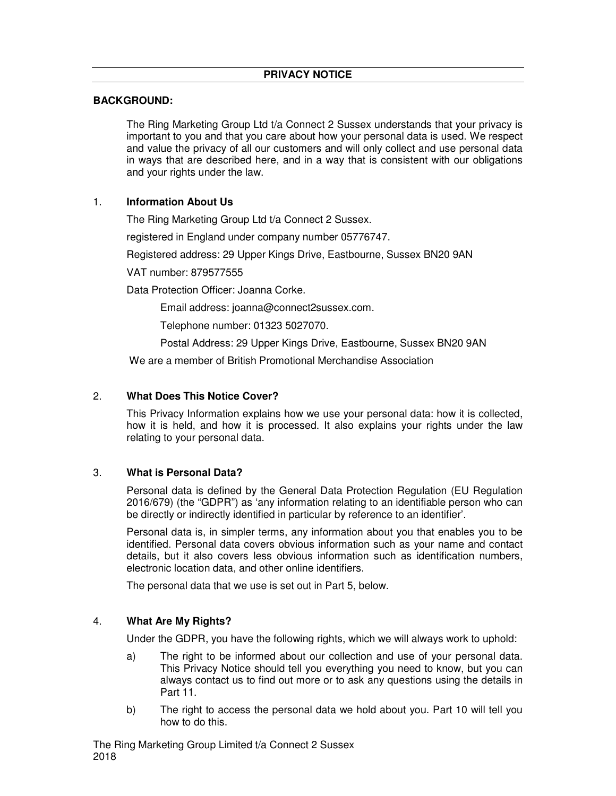## **BACKGROUND:**

 The Ring Marketing Group Ltd t/a Connect 2 Sussex understands that your privacy is important to you and that you care about how your personal data is used. We respect and value the privacy of all our customers and will only collect and use personal data in ways that are described here, and in a way that is consistent with our obligations and your rights under the law.

## 1. **Information About Us**

The Ring Marketing Group Ltd t/a Connect 2 Sussex.

registered in England under company number 05776747.

Registered address: 29 Upper Kings Drive, Eastbourne, Sussex BN20 9AN

VAT number: 879577555

Data Protection Officer: Joanna Corke.

Email address: joanna@connect2sussex.com.

Telephone number: 01323 5027070.

Postal Address: 29 Upper Kings Drive, Eastbourne, Sussex BN20 9AN

We are a member of British Promotional Merchandise Association

## 2. **What Does This Notice Cover?**

This Privacy Information explains how we use your personal data: how it is collected, how it is held, and how it is processed. It also explains your rights under the law relating to your personal data.

## 3. **What is Personal Data?**

Personal data is defined by the General Data Protection Regulation (EU Regulation 2016/679) (the "GDPR") as 'any information relating to an identifiable person who can be directly or indirectly identified in particular by reference to an identifier'.

Personal data is, in simpler terms, any information about you that enables you to be identified. Personal data covers obvious information such as your name and contact details, but it also covers less obvious information such as identification numbers, electronic location data, and other online identifiers.

The personal data that we use is set out in Part 5, below.

## 4. **What Are My Rights?**

Under the GDPR, you have the following rights, which we will always work to uphold:

- a) The right to be informed about our collection and use of your personal data. This Privacy Notice should tell you everything you need to know, but you can always contact us to find out more or to ask any questions using the details in Part 11.
- b) The right to access the personal data we hold about you. Part 10 will tell you how to do this.

The Ring Marketing Group Limited t/a Connect 2 Sussex 2018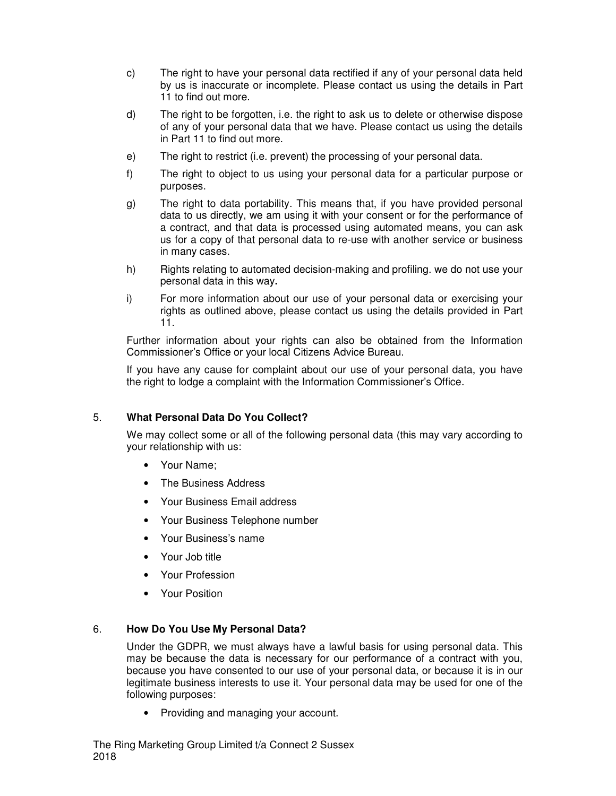- c) The right to have your personal data rectified if any of your personal data held by us is inaccurate or incomplete. Please contact us using the details in Part 11 to find out more.
- d) The right to be forgotten, i.e. the right to ask us to delete or otherwise dispose of any of your personal data that we have. Please contact us using the details in Part 11 to find out more.
- e) The right to restrict (i.e. prevent) the processing of your personal data.
- f) The right to object to us using your personal data for a particular purpose or purposes.
- g) The right to data portability. This means that, if you have provided personal data to us directly, we am using it with your consent or for the performance of a contract, and that data is processed using automated means, you can ask us for a copy of that personal data to re-use with another service or business in many cases.
- h) Rights relating to automated decision-making and profiling. we do not use your personal data in this way**.**
- i) For more information about our use of your personal data or exercising your rights as outlined above, please contact us using the details provided in Part 11.

Further information about your rights can also be obtained from the Information Commissioner's Office or your local Citizens Advice Bureau.

If you have any cause for complaint about our use of your personal data, you have the right to lodge a complaint with the Information Commissioner's Office.

# 5. **What Personal Data Do You Collect?**

We may collect some or all of the following personal data (this may vary according to your relationship with us:

- Your Name;
- The Business Address
- Your Business Email address
- Your Business Telephone number
- Your Business's name
- Your Job title
- Your Profession
- Your Position

## 6. **How Do You Use My Personal Data?**

Under the GDPR, we must always have a lawful basis for using personal data. This may be because the data is necessary for our performance of a contract with you, because you have consented to our use of your personal data, or because it is in our legitimate business interests to use it. Your personal data may be used for one of the following purposes:

• Providing and managing your account.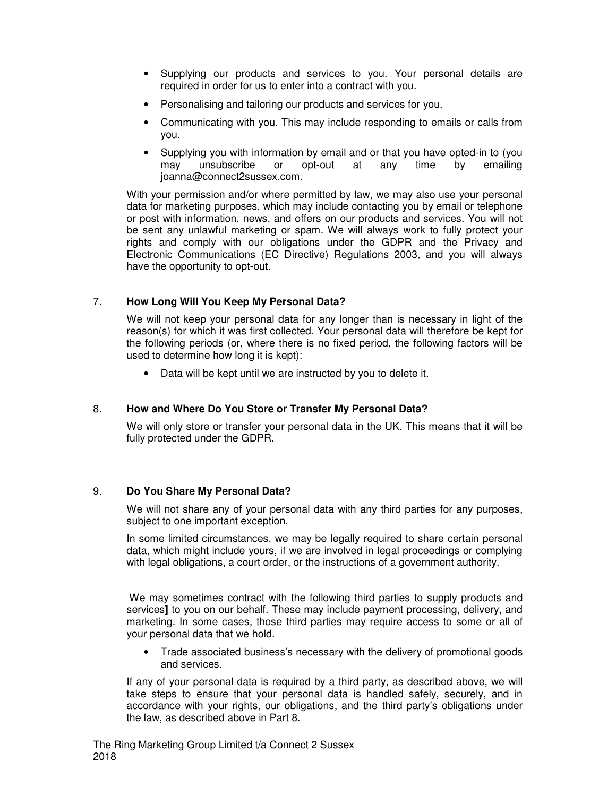- Supplying our products and services to you. Your personal details are required in order for us to enter into a contract with you.
- Personalising and tailoring our products and services for you.
- Communicating with you. This may include responding to emails or calls from you.
- Supplying you with information by email and or that you have opted-in to (you may unsubscribe or opt-out at any time by emailing joanna@connect2sussex.com.

With your permission and/or where permitted by law, we may also use your personal data for marketing purposes, which may include contacting you by email or telephone or post with information, news, and offers on our products and services. You will not be sent any unlawful marketing or spam. We will always work to fully protect your rights and comply with our obligations under the GDPR and the Privacy and Electronic Communications (EC Directive) Regulations 2003, and you will always have the opportunity to opt-out.

# 7. **How Long Will You Keep My Personal Data?**

We will not keep your personal data for any longer than is necessary in light of the reason(s) for which it was first collected. Your personal data will therefore be kept for the following periods (or, where there is no fixed period, the following factors will be used to determine how long it is kept):

• Data will be kept until we are instructed by you to delete it.

## 8. **How and Where Do You Store or Transfer My Personal Data?**

We will only store or transfer your personal data in the UK. This means that it will be fully protected under the GDPR.

## 9. **Do You Share My Personal Data?**

We will not share any of your personal data with any third parties for any purposes, subject to one important exception.

In some limited circumstances, we may be legally required to share certain personal data, which might include yours, if we are involved in legal proceedings or complying with legal obligations, a court order, or the instructions of a government authority.

We may sometimes contract with the following third parties to supply products and services**]** to you on our behalf. These may include payment processing, delivery, and marketing. In some cases, those third parties may require access to some or all of your personal data that we hold.

• Trade associated business's necessary with the delivery of promotional goods and services.

If any of your personal data is required by a third party, as described above, we will take steps to ensure that your personal data is handled safely, securely, and in accordance with your rights, our obligations, and the third party's obligations under the law, as described above in Part 8.